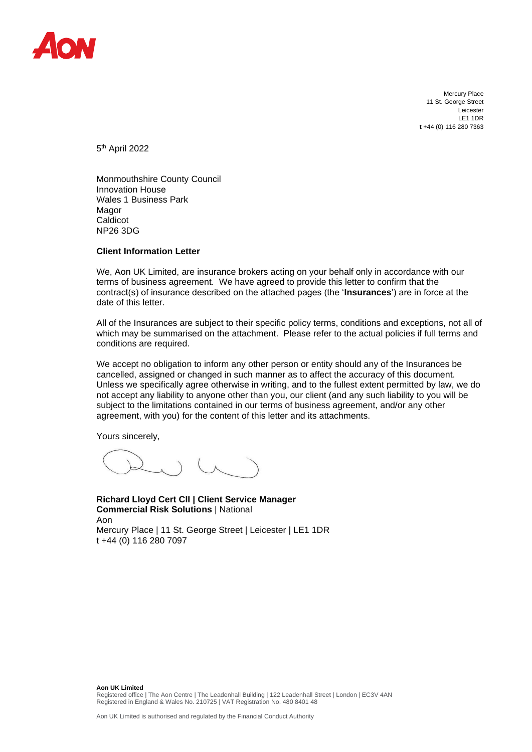

Mercury Place 11 St. George Street Leicester LE1 1DR **t** +44 (0) 116 280 7363

5<sup>th</sup> April 2022

Monmouthshire County Council Innovation House Wales 1 Business Park Magor Caldicot NP26 3DG

## **Client Information Letter**

We, Aon UK Limited, are insurance brokers acting on your behalf only in accordance with our terms of business agreement. We have agreed to provide this letter to confirm that the contract(s) of insurance described on the attached pages (the '**Insurances**') are in force at the date of this letter.

All of the Insurances are subject to their specific policy terms, conditions and exceptions, not all of which may be summarised on the attachment. Please refer to the actual policies if full terms and conditions are required.

We accept no obligation to inform any other person or entity should any of the Insurances be cancelled, assigned or changed in such manner as to affect the accuracy of this document. Unless we specifically agree otherwise in writing, and to the fullest extent permitted by law, we do not accept any liability to anyone other than you, our client (and any such liability to you will be subject to the limitations contained in our terms of business agreement, and/or any other agreement, with you) for the content of this letter and its attachments.

Yours sincerely,

**Richard Lloyd Cert CII | Client Service Manager Commercial Risk Solutions** | National Aon Mercury Place | 11 St. George Street | Leicester | LE1 1DR t +44 (0) 116 280 7097